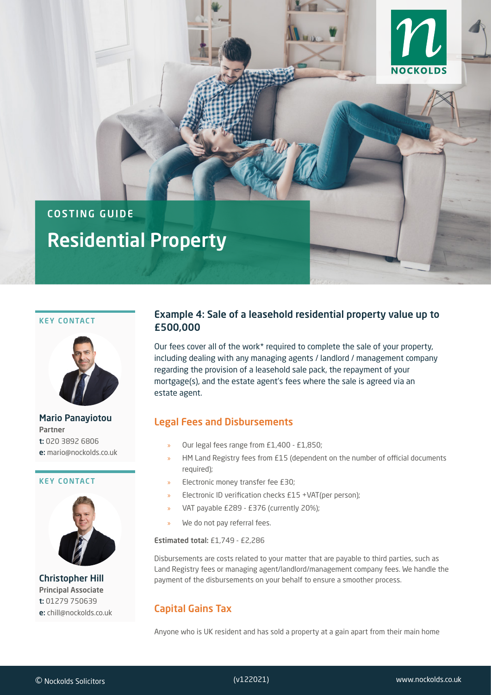

# COSTING GUIDE Residential Property

#### KEY CONTACT



Mario Panayiotou Partner t: 020 3892 6806 e: mario@nockolds.co.uk

#### KEY CONTACT



Christopher Hill Principal Associate t: 01279 750639 e: chill@nockolds.co.uk

### Example 4: Sale of a leasehold residential property value up to £500,000

Our fees cover all of the work\* required to complete the sale of your property, including dealing with any managing agents / landlord / management company regarding the provision of a leasehold sale pack, the repayment of your mortgage(s), and the estate agent's fees where the sale is agreed via an estate agent.

### Legal Fees and Disbursements

- » Our legal fees range from £1,400 £1,850;
- » HM Land Registry fees from £15 (dependent on the number of official documents required);
- » Electronic money transfer fee £30;
- » Electronic ID verification checks £15 +VAT(per person);
- » VAT payable £289 £376 (currently 20%);
- We do not pay referral fees.

Estimated total: £1,749 - £2,286

Disbursements are costs related to your matter that are payable to third parties, such as Land Registry fees or managing agent/landlord/management company fees. We handle the payment of the disbursements on your behalf to ensure a smoother process.

# Capital Gains Tax

Anyone who is UK resident and has sold a property at a gain apart from their main home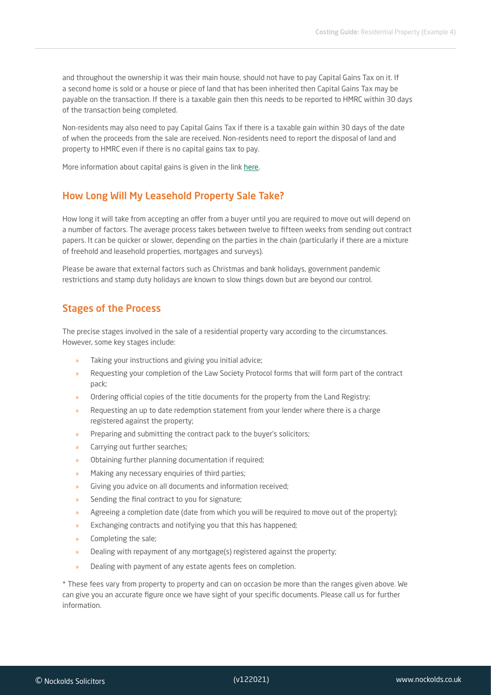and throughout the ownership it was their main house, should not have to pay Capital Gains Tax on it. If a second home is sold or a house or piece of land that has been inherited then Capital Gains Tax may be payable on the transaction. If there is a taxable gain then this needs to be reported to HMRC within 30 days of the transaction being completed.

Non-residents may also need to pay Capital Gains Tax if there is a taxable gain within 30 days of the date of when the proceeds from the sale are received. Non-residents need to report the disposal of land and property to HMRC even if there is no capital gains tax to pay.

More information about capital gains is given in the link [here.](https://www.gov.uk/capital-gains-tax/report-and-pay-capital-gains-tax)

#### How Long Will My Leasehold Property Sale Take?

How long it will take from accepting an offer from a buyer until you are required to move out will depend on a number of factors. The average process takes between twelve to fifteen weeks from sending out contract papers. It can be quicker or slower, depending on the parties in the chain (particularly if there are a mixture of freehold and leasehold properties, mortgages and surveys).

Please be aware that external factors such as Christmas and bank holidays, government pandemic restrictions and stamp duty holidays are known to slow things down but are beyond our control.

#### Stages of the Process

The precise stages involved in the sale of a residential property vary according to the circumstances. However, some key stages include:

- Taking your instructions and giving you initial advice;
- » Requesting your completion of the Law Society Protocol forms that will form part of the contract pack;
- » Ordering official copies of the title documents for the property from the Land Registry;
- » Requesting an up to date redemption statement from your lender where there is a charge registered against the property;
- » Preparing and submitting the contract pack to the buyer's solicitors;
- » Carrying out further searches;
- » Obtaining further planning documentation if required;
- » Making any necessary enquiries of third parties;
- Giving you advice on all documents and information received;
- » Sending the final contract to you for signature;
- » Agreeing a completion date (date from which you will be required to move out of the property);
- » Exchanging contracts and notifying you that this has happened;
- » Completing the sale;
- » Dealing with repayment of any mortgage(s) registered against the property;
- » Dealing with payment of any estate agents fees on completion.

\* These fees vary from property to property and can on occasion be more than the ranges given above. We can give you an accurate figure once we have sight of your specific documents. Please call us for further information.